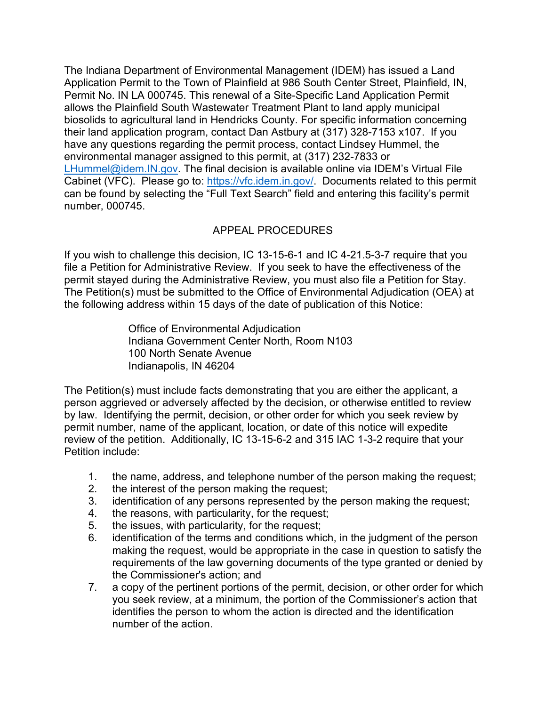The Indiana Department of Environmental Management (IDEM) has issued a Land Application Permit to the Town of Plainfield at 986 South Center Street, Plainfield, IN, Permit No. IN LA 000745. This renewal of a Site-Specific Land Application Permit allows the Plainfield South Wastewater Treatment Plant to land apply municipal biosolids to agricultural land in Hendricks County. For specific information concerning their land application program, contact Dan Astbury at (317) 328-7153 x107. If you have any questions regarding the permit process, contact Lindsey Hummel, the environmental manager assigned to this permit, at (317) 232-7833 or [LHummel@idem.IN.gov.](mailto:LHummel@idem.IN.gov) The final decision is available online via IDEM's Virtual File Cabinet (VFC). Please go to: [https://vfc.idem.in.gov/.](https://vfc.idem.in.gov/) Documents related to this permit can be found by selecting the "Full Text Search" field and entering this facility's permit number, 000745.

## APPEAL PROCEDURES

If you wish to challenge this decision, IC 13-15-6-1 and IC 4-21.5-3-7 require that you file a Petition for Administrative Review. If you seek to have the effectiveness of the permit stayed during the Administrative Review, you must also file a Petition for Stay. The Petition(s) must be submitted to the Office of Environmental Adjudication (OEA) at the following address within 15 days of the date of publication of this Notice:

> Office of Environmental Adjudication Indiana Government Center North, Room N103 100 North Senate Avenue Indianapolis, IN 46204

The Petition(s) must include facts demonstrating that you are either the applicant, a person aggrieved or adversely affected by the decision, or otherwise entitled to review by law. Identifying the permit, decision, or other order for which you seek review by permit number, name of the applicant, location, or date of this notice will expedite review of the petition. Additionally, IC 13-15-6-2 and 315 IAC 1-3-2 require that your Petition include:

- 1. the name, address, and telephone number of the person making the request;
- 2. the interest of the person making the request;
- 3. identification of any persons represented by the person making the request;
- 4. the reasons, with particularity, for the request;
- 5. the issues, with particularity, for the request;
- 6. identification of the terms and conditions which, in the judgment of the person making the request, would be appropriate in the case in question to satisfy the requirements of the law governing documents of the type granted or denied by the Commissioner's action; and
- 7. a copy of the pertinent portions of the permit, decision, or other order for which you seek review, at a minimum, the portion of the Commissioner's action that identifies the person to whom the action is directed and the identification number of the action.